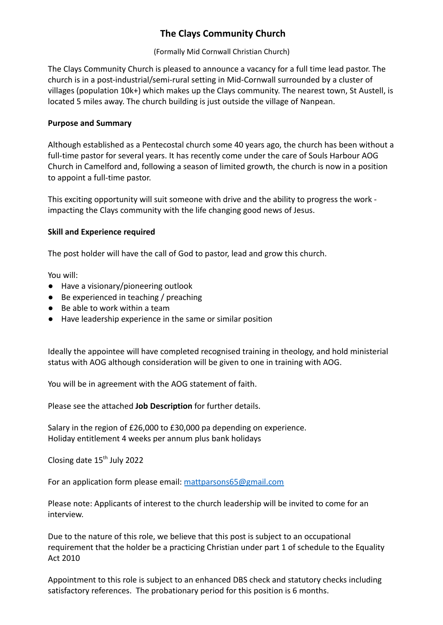# **The Clays Community Church**

(Formally Mid Cornwall Christian Church)

The Clays Community Church is pleased to announce a vacancy for a full time lead pastor. The church is in a post-industrial/semi-rural setting in Mid-Cornwall surrounded by a cluster of villages (population 10k+) which makes up the Clays community. The nearest town, St Austell, is located 5 miles away. The church building is just outside the village of Nanpean.

# **Purpose and Summary**

Although established as a Pentecostal church some 40 years ago, the church has been without a full-time pastor for several years. It has recently come under the care of Souls Harbour AOG Church in Camelford and, following a season of limited growth, the church is now in a position to appoint a full-time pastor.

This exciting opportunity will suit someone with drive and the ability to progress the work impacting the Clays community with the life changing good news of Jesus.

# **Skill and Experience required**

The post holder will have the call of God to pastor, lead and grow this church.

You will:

- Have a visionary/pioneering outlook
- Be experienced in teaching / preaching
- Be able to work within a team
- Have leadership experience in the same or similar position

Ideally the appointee will have completed recognised training in theology, and hold ministerial status with AOG although consideration will be given to one in training with AOG.

You will be in agreement with the AOG statement of faith.

Please see the attached **Job Description** for further details.

Salary in the region of £26,000 to £30,000 pa depending on experience. Holiday entitlement 4 weeks per annum plus bank holidays

Closing date 15<sup>th</sup> July 2022

For an application form please email: [mattparsons65@gmail.com](mailto:mattparsons65@gmail.com)

Please note: Applicants of interest to the church leadership will be invited to come for an interview.

Due to the nature of this role, we believe that this post is subject to an occupational requirement that the holder be a practicing Christian under part 1 of schedule to the Equality Act 2010

Appointment to this role is subject to an enhanced DBS check and statutory checks including satisfactory references. The probationary period for this position is 6 months.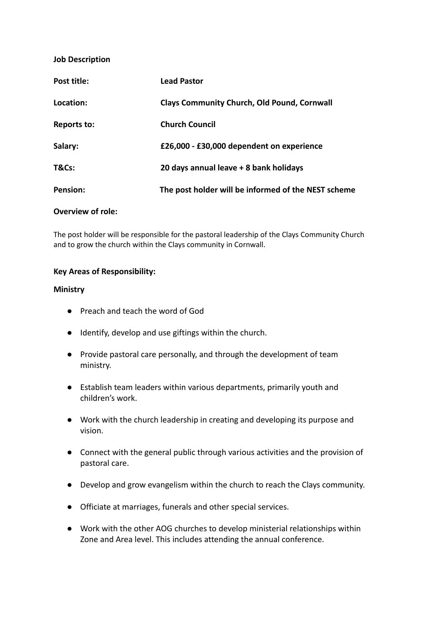### **Job Description**

| Post title: | <b>Lead Pastor</b>                                  |
|-------------|-----------------------------------------------------|
| Location:   | <b>Clays Community Church, Old Pound, Cornwall</b>  |
| Reports to: | <b>Church Council</b>                               |
| Salary:     | £26,000 - £30,000 dependent on experience           |
| T&Cs:       | 20 days annual leave + 8 bank holidays              |
| Pension:    | The post holder will be informed of the NEST scheme |
|             |                                                     |

## **Overview of role:**

The post holder will be responsible for the pastoral leadership of the Clays Community Church and to grow the church within the Clays community in Cornwall.

#### **Key Areas of Responsibility:**

#### **Ministry**

- Preach and teach the word of God
- Identify, develop and use giftings within the church.
- Provide pastoral care personally, and through the development of team ministry.
- Establish team leaders within various departments, primarily youth and children's work.
- Work with the church leadership in creating and developing its purpose and vision.
- Connect with the general public through various activities and the provision of pastoral care.
- Develop and grow evangelism within the church to reach the Clays community.
- Officiate at marriages, funerals and other special services.
- Work with the other AOG churches to develop ministerial relationships within Zone and Area level. This includes attending the annual conference.